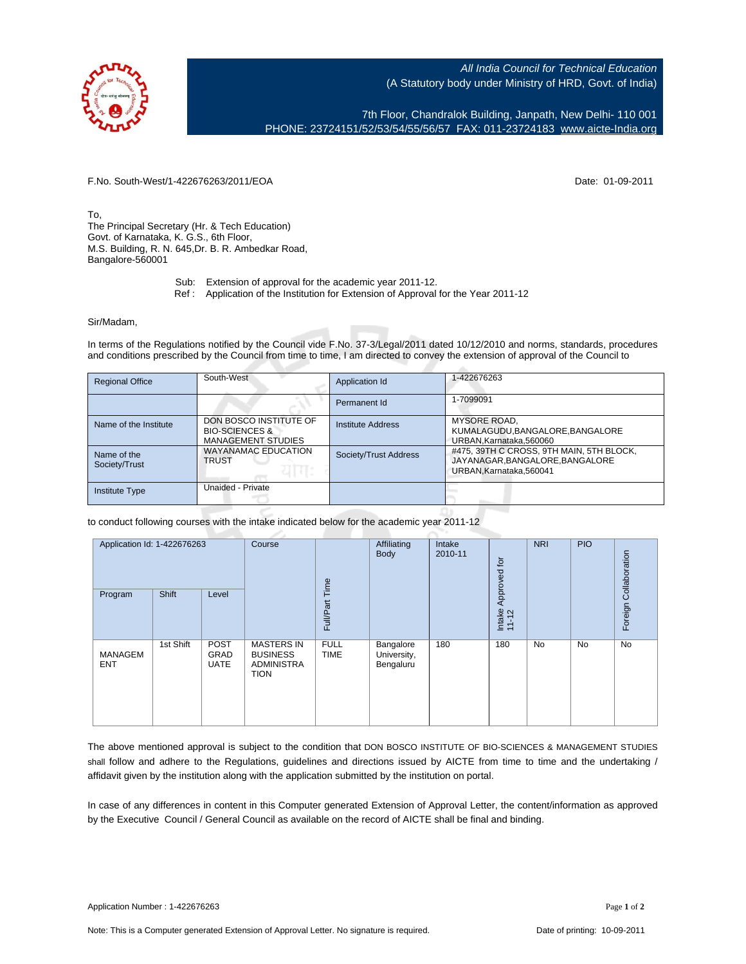All India Council for Technical Education (A Statutory body under Ministry of HRD, Govt. of India)

7th Floor, Chandralok Building, Janpath, New Delhi- 110 001 PHONE: 23724151/52/53/54/55/56/57 FAX: 011-23724183 [www.aicte-India.org](http://www.aicte-India.org)

F.No. South-West/1-422676263/2011/EOA Date: 01-09-2011

To, The Principal Secretary (Hr. & Tech Education) Govt. of Karnataka, K. G.S., 6th Floor, M.S. Building, R. N. 645,Dr. B. R. Ambedkar Road, Bangalore-560001

- Sub: Extension of approval for the academic year 2011-12.
- Ref : Application of the Institution for Extension of Approval for the Year 2011-12

## Sir/Madam,

In terms of the Regulations notified by the Council vide F.No. 37-3/Legal/2011 dated 10/12/2010 and norms, standards, procedures and conditions prescribed by the Council from time to time, I am directed to convey the extension of approval of the Council to

| <b>Regional Office</b>       | South-West                                                                       | Application Id           | 1-422676263                                                                                           |
|------------------------------|----------------------------------------------------------------------------------|--------------------------|-------------------------------------------------------------------------------------------------------|
|                              |                                                                                  | Permanent Id             | 1-7099091                                                                                             |
| Name of the Institute        | DON BOSCO INSTITUTE OF<br><b>BIO-SCIENCES &amp;</b><br><b>MANAGEMENT STUDIES</b> | <b>Institute Address</b> | <b>MYSORE ROAD.</b><br>KUMALAGUDU, BANGALORE, BANGALORE<br>URBAN.Karnataka.560060                     |
| Name of the<br>Society/Trust | <b>WAYANAMAC EDUCATION</b><br><b>TRUST</b>                                       | Society/Trust Address    | #475, 39TH C CROSS, 9TH MAIN, 5TH BLOCK,<br>JAYANAGAR, BANGALORE, BANGALORE<br>URBAN.Karnataka.560041 |
| <b>Institute Type</b>        | Unaided - Private                                                                |                          |                                                                                                       |

to conduct following courses with the intake indicated below for the academic year 2011-12

| Application Id: 1-422676263 |           | Course                                    | Time                                                                     | Affiliating<br>Body        | Intake<br>2010-11                     | Approved for | <b>NRI</b>      | <b>PIO</b> | Collaboration |         |
|-----------------------------|-----------|-------------------------------------------|--------------------------------------------------------------------------|----------------------------|---------------------------------------|--------------|-----------------|------------|---------------|---------|
| Program                     | Shift     | Level                                     |                                                                          | Full/Part                  |                                       |              | Intake<br>11-12 |            |               | Foreign |
| MANAGEM<br><b>ENT</b>       | 1st Shift | <b>POST</b><br><b>GRAD</b><br><b>UATE</b> | <b>MASTERS IN</b><br><b>BUSINESS</b><br><b>ADMINISTRA</b><br><b>TION</b> | <b>FULL</b><br><b>TIME</b> | Bangalore<br>University,<br>Bengaluru | 180          | 180             | <b>No</b>  | No            | No      |

The above mentioned approval is subject to the condition that DON BOSCO INSTITUTE OF BIO-SCIENCES & MANAGEMENT STUDIES shall follow and adhere to the Regulations, guidelines and directions issued by AICTE from time to time and the undertaking / affidavit given by the institution along with the application submitted by the institution on portal.

In case of any differences in content in this Computer generated Extension of Approval Letter, the content/information as approved by the Executive Council / General Council as available on the record of AICTE shall be final and binding.